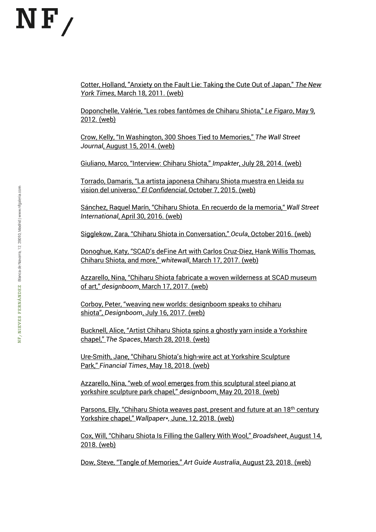## $N$  F  $_{\rm s}$

[Cotter, Holland, "Anxiety on the Fault Lie: Taking the Cute Out of Japan,"](https://www.nytimes.com/2011/03/18/arts/design/anxiety-on-the-fault-line.html) *The New York Times*[, March 18, 2011. \(web\)](https://www.nytimes.com/2011/03/18/arts/design/anxiety-on-the-fault-line.html)

[Doponchelle, Valérie, "Les robes fantômes de Chiharu Shiota,"](https://www.lefigaro.fr/culture/2012/05/08/03004-20120508ARTFIG00487-les-robes-fantomes-de-chiharu-shiota.php) *Le Figaro*, May 9, [2012. \(web\)](https://www.lefigaro.fr/culture/2012/05/08/03004-20120508ARTFIG00487-les-robes-fantomes-de-chiharu-shiota.php)

[Crow, Kelly, "In Washington, 300 Shoes Tied to Memories,"](https://www.wsj.com/articles/a-japanese-artist-brings-300-shoes-and-memories-to-washington-1408142916) *The Wall Street Journal*[, August 15, 2014. \(web\)](https://www.wsj.com/articles/a-japanese-artist-brings-300-shoes-and-memories-to-washington-1408142916)

[Giuliano, Marco, "Interview: Chiharu Shiota,"](https://impakter.com/chiharu-shiota/) *Impakter*, July 28, 2014. (web)

[Torrado, Damaris, "La artista japonesa Chiharu Shiota muestra en Lleida su](https://www.lavanguardia.com/cultura/20151007/54437949555/la-artista-japonesa-chiharu-shiota-muestra-en-lleida-su-vision-del-universo.html?facet=amp)  vision del universo," *El Confidencial*[, October 7, 2015. \(web\)](https://www.lavanguardia.com/cultura/20151007/54437949555/la-artista-japonesa-chiharu-shiota-muestra-en-lleida-su-vision-del-universo.html?facet=amp)

[Sánchez, Raquel Marín, "Chiharu Shiota. En recuerdo de la memoria,"](https://wsimag.com/es/arte/19962-chiharu-shiota) *Wall Street International*[, April 30, 2016. \(web\)](https://wsimag.com/es/arte/19962-chiharu-shiota)

[Sigglekow, Zara, "Chiharu Shiota in Conversation,"](https://ocula.com/magazine/conversations/chiharu-shiota/) *Ocula*, October 2016. (web)

[Donoghue, Katy, "SCAD's deFine Art with Carlos Cruz](https://www.whitewall.art/art/scads-define-art-with-carlos-cruz-diez-hank-willis-thomas-chiharu-shiota-and-more)-Diez, Hank Willis Thomas, [Chiharu Shiota, and more,"](https://www.whitewall.art/art/scads-define-art-with-carlos-cruz-diez-hank-willis-thomas-chiharu-shiota-and-more) *whitewall*, March 17, 2017. (web)

[Azzarello, Nina, "Chiharu Shiota fabricate a woven wilderness at SCAD museum](https://www.designboom.com/art/chiharu-shiota-scad-museum-of-art-infinity-lines-03-17-2017/)  of art," *designboom*[, March 17, 2017. \(web\)](https://www.designboom.com/art/chiharu-shiota-scad-museum-of-art-infinity-lines-03-17-2017/)

[Corboy, Peter, "weaving new worlds: designboom speaks to chiharu](https://www.designboom.com/art/chiharu-shiota-installation-interview-07-16-2017/)  shiota", *Designboom*[, July 16, 2017. \(web\)](https://www.designboom.com/art/chiharu-shiota-installation-interview-07-16-2017/)

[Bucknell, Alice, "Artist Chiharu Shiota spins a ghostly yarn inside a Yorkshire](https://thespaces.com/artist-chiharu-shiota-spins-a-ghostly-yarn-inside-a-yorkshire-chapel/)  chapel," *The Spaces*[, March 28, 2018. \(web\)](https://thespaces.com/artist-chiharu-shiota-spins-a-ghostly-yarn-inside-a-yorkshire-chapel/)

Ure-[Smith, Jane, "Chiharu Shiota's high](https://www.ft.com/content/b975de4a-51f8-11e8-84f4-43d65af59d43)-wire act at Yorkshire Sculpture Park," *Financial Times*[, May 18, 2018. \(web\)](https://www.ft.com/content/b975de4a-51f8-11e8-84f4-43d65af59d43)

[Azzarello, Nina, "web of wool emerges from this sculptural steel piano at](https://www.designboom.com/art/chiharu-shiota-yorkshire-sculpture-park-chapel-beyond-time-05-20-2018/)  [yorkshire sculpture park chapel,"](https://www.designboom.com/art/chiharu-shiota-yorkshire-sculpture-park-chapel-beyond-time-05-20-2018/) *designboom*, May 20, 2018. (web)

[Parsons, Elly, "Chiharu Shiota weaves past, present and future at an 18](https://www.wallpaper.com/art/chiharu-shiota-yorkshire-sculpture-park)<sup>th</sup> century Yorkshire chapel," *Wallpaper\*,* [June, 12, 2018. \(web\)](https://www.wallpaper.com/art/chiharu-shiota-yorkshire-sculpture-park)

C[ox, Will, "Chiharu Shiota Is Filling the Gallery With Wool,"](https://www.broadsheet.com.au/national/art-and-design/article/chiharu-shiota-has-filled-gallery-wool) *Broadsheet*, August 14, [2018. \(web\)](https://www.broadsheet.com.au/national/art-and-design/article/chiharu-shiota-has-filled-gallery-wool)

[Dow, Steve, "Tangle of Memories,"](https://artguide.com.au/tangle-of-memories) *Art Guide Australia*, August 23, 2018. (web)